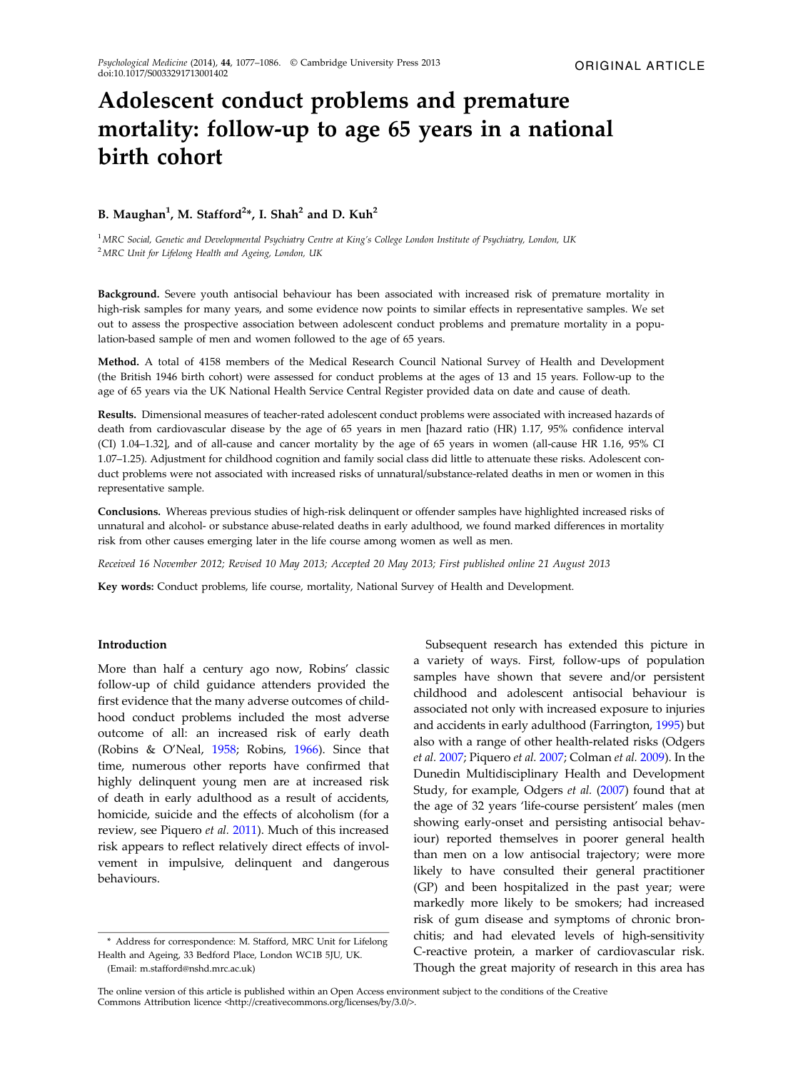# Adolescent conduct problems and premature mortality: follow-up to age 65 years in a national birth cohort

## B. Maughan<sup>1</sup>, M. Stafford<sup>2\*</sup>, I. Shah<sup>2</sup> and D. Kuh<sup>2</sup>

<sup>1</sup> MRC Social, Genetic and Developmental Psychiatry Centre at King's College London Institute of Psychiatry, London, UK  $2^2$ MRC Unit for Lifelong Health and Ageing, London, UK

Background. Severe youth antisocial behaviour has been associated with increased risk of premature mortality in high-risk samples for many years, and some evidence now points to similar effects in representative samples. We set out to assess the prospective association between adolescent conduct problems and premature mortality in a population-based sample of men and women followed to the age of 65 years.

Method. A total of 4158 members of the Medical Research Council National Survey of Health and Development (the British 1946 birth cohort) were assessed for conduct problems at the ages of 13 and 15 years. Follow-up to the age of 65 years via the UK National Health Service Central Register provided data on date and cause of death.

Results. Dimensional measures of teacher-rated adolescent conduct problems were associated with increased hazards of death from cardiovascular disease by the age of 65 years in men [hazard ratio (HR) 1.17, 95% confidence interval (CI) 1.04–1.32], and of all-cause and cancer mortality by the age of 65 years in women (all-cause HR 1.16, 95% CI 1.07–1.25). Adjustment for childhood cognition and family social class did little to attenuate these risks. Adolescent conduct problems were not associated with increased risks of unnatural/substance-related deaths in men or women in this representative sample.

Conclusions. Whereas previous studies of high-risk delinquent or offender samples have highlighted increased risks of unnatural and alcohol- or substance abuse-related deaths in early adulthood, we found marked differences in mortality risk from other causes emerging later in the life course among women as well as men.

Received 16 November 2012; Revised 10 May 2013; Accepted 20 May 2013; First published online 21 August 2013

Key words: Conduct problems, life course, mortality, National Survey of Health and Development.

#### Introduction

More than half a century ago now, Robins' classic follow-up of child guidance attenders provided the first evidence that the many adverse outcomes of childhood conduct problems included the most adverse outcome of all: an increased risk of early death (Robins & O'Neal, [1958](#page-8-0); Robins, [1966](#page-8-0)). Since that time, numerous other reports have confirmed that highly delinquent young men are at increased risk of death in early adulthood as a result of accidents, homicide, suicide and the effects of alcoholism (for a review, see Piquero et al. [2011\)](#page-8-0). Much of this increased risk appears to reflect relatively direct effects of involvement in impulsive, delinquent and dangerous behaviours.

Subsequent research has extended this picture in a variety of ways. First, follow-ups of population samples have shown that severe and/or persistent childhood and adolescent antisocial behaviour is associated not only with increased exposure to injuries and accidents in early adulthood (Farrington, [1995](#page-8-0)) but also with a range of other health-related risks (Odgers et al. [2007;](#page-8-0) Piquero et al. [2007](#page-8-0); Colman et al. [2009\)](#page-8-0). In the Dunedin Multidisciplinary Health and Development Study, for example, Odgers et al. [\(2007](#page-8-0)) found that at the age of 32 years 'life-course persistent' males (men showing early-onset and persisting antisocial behaviour) reported themselves in poorer general health than men on a low antisocial trajectory; were more likely to have consulted their general practitioner (GP) and been hospitalized in the past year; were markedly more likely to be smokers; had increased risk of gum disease and symptoms of chronic bronchitis; and had elevated levels of high-sensitivity C-reactive protein, a marker of cardiovascular risk. Though the great majority of research in this area has

<sup>\*</sup> Address for correspondence: M. Stafford, MRC Unit for Lifelong Health and Ageing, 33 Bedford Place, London WC1B 5JU, UK.

<sup>(</sup>Email: m.stafford@nshd.mrc.ac.uk)

The online version of this article is published within an Open Access environment subject to the conditions of the Creative Commons Attribution licence <http://creativecommons.org/licenses/by/3.0/>.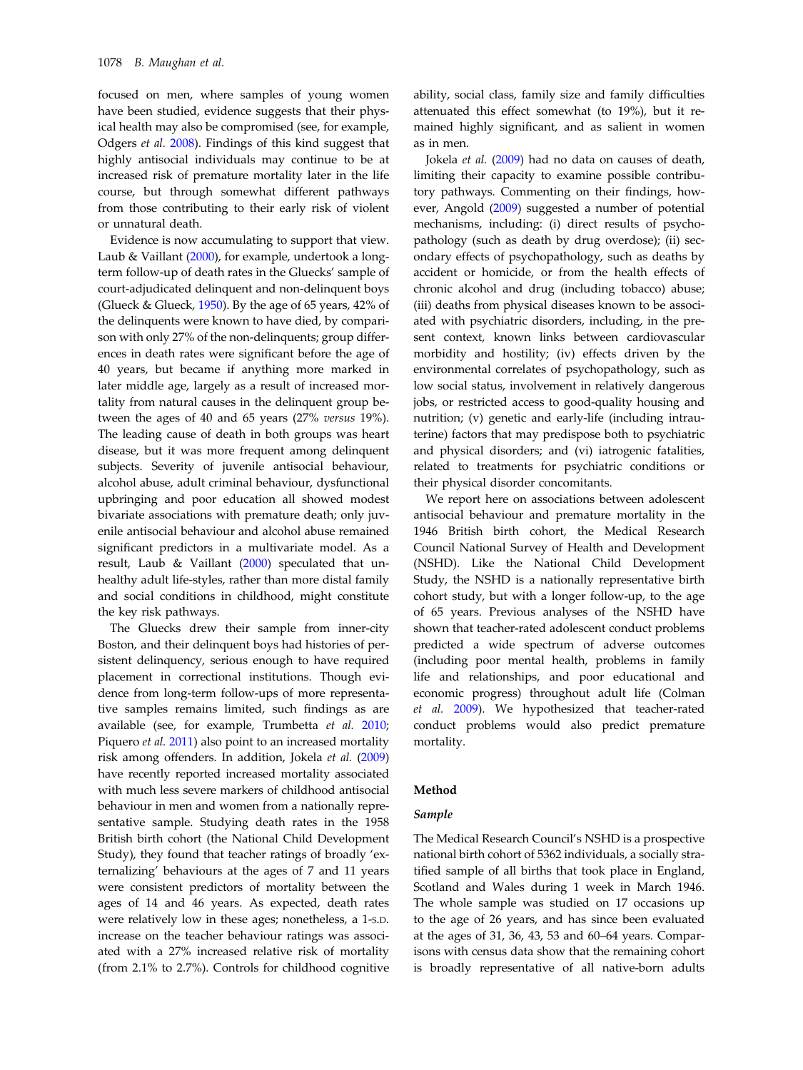focused on men, where samples of young women have been studied, evidence suggests that their physical health may also be compromised (see, for example, Odgers et al. [2008](#page-8-0)). Findings of this kind suggest that highly antisocial individuals may continue to be at increased risk of premature mortality later in the life course, but through somewhat different pathways from those contributing to their early risk of violent or unnatural death.

Evidence is now accumulating to support that view. Laub & Vaillant [\(2000\)](#page-8-0), for example, undertook a longterm follow-up of death rates in the Gluecks' sample of court-adjudicated delinquent and non-delinquent boys (Glueck & Glueck,  $1950$ ). By the age of 65 years,  $42\%$  of the delinquents were known to have died, by comparison with only 27% of the non-delinquents; group differences in death rates were significant before the age of 40 years, but became if anything more marked in later middle age, largely as a result of increased mortality from natural causes in the delinquent group between the ages of 40 and 65 years (27% versus 19%). The leading cause of death in both groups was heart disease, but it was more frequent among delinquent subjects. Severity of juvenile antisocial behaviour, alcohol abuse, adult criminal behaviour, dysfunctional upbringing and poor education all showed modest bivariate associations with premature death; only juvenile antisocial behaviour and alcohol abuse remained significant predictors in a multivariate model. As a result, Laub & Vaillant  $(2000)$  $(2000)$  speculated that unhealthy adult life-styles, rather than more distal family and social conditions in childhood, might constitute the key risk pathways.

The Gluecks drew their sample from inner-city Boston, and their delinquent boys had histories of persistent delinquency, serious enough to have required placement in correctional institutions. Though evidence from long-term follow-ups of more representative samples remains limited, such findings as are available (see, for example, Trumbetta et al. [2010](#page-9-0); Piquero et al. [2011\)](#page-8-0) also point to an increased mortality risk among offenders. In addition, Jokela et al. ([2009\)](#page-8-0) have recently reported increased mortality associated with much less severe markers of childhood antisocial behaviour in men and women from a nationally representative sample. Studying death rates in the 1958 British birth cohort (the National Child Development Study), they found that teacher ratings of broadly 'externalizing' behaviours at the ages of 7 and 11 years were consistent predictors of mortality between the ages of 14 and 46 years. As expected, death rates were relatively low in these ages; nonetheless, a 1-S.D. increase on the teacher behaviour ratings was associated with a 27% increased relative risk of mortality (from 2.1% to 2.7%). Controls for childhood cognitive ability, social class, family size and family difficulties attenuated this effect somewhat (to 19%), but it remained highly significant, and as salient in women as in men.

Jokela et al. ([2009\)](#page-8-0) had no data on causes of death, limiting their capacity to examine possible contributory pathways. Commenting on their findings, however, Angold ([2009\)](#page-8-0) suggested a number of potential mechanisms, including: (i) direct results of psychopathology (such as death by drug overdose); (ii) secondary effects of psychopathology, such as deaths by accident or homicide, or from the health effects of chronic alcohol and drug (including tobacco) abuse; (iii) deaths from physical diseases known to be associated with psychiatric disorders, including, in the present context, known links between cardiovascular morbidity and hostility; (iv) effects driven by the environmental correlates of psychopathology, such as low social status, involvement in relatively dangerous jobs, or restricted access to good-quality housing and nutrition; (v) genetic and early-life (including intrauterine) factors that may predispose both to psychiatric and physical disorders; and (vi) iatrogenic fatalities, related to treatments for psychiatric conditions or their physical disorder concomitants.

We report here on associations between adolescent antisocial behaviour and premature mortality in the 1946 British birth cohort, the Medical Research Council National Survey of Health and Development (NSHD). Like the National Child Development Study, the NSHD is a nationally representative birth cohort study, but with a longer follow-up, to the age of 65 years. Previous analyses of the NSHD have shown that teacher-rated adolescent conduct problems predicted a wide spectrum of adverse outcomes (including poor mental health, problems in family life and relationships, and poor educational and economic progress) throughout adult life (Colman et al. [2009\)](#page-8-0). We hypothesized that teacher-rated conduct problems would also predict premature mortality.

#### Method

## Sample

The Medical Research Council's NSHD is a prospective national birth cohort of 5362 individuals, a socially stratified sample of all births that took place in England, Scotland and Wales during 1 week in March 1946. The whole sample was studied on 17 occasions up to the age of 26 years, and has since been evaluated at the ages of 31, 36, 43, 53 and 60–64 years. Comparisons with census data show that the remaining cohort is broadly representative of all native-born adults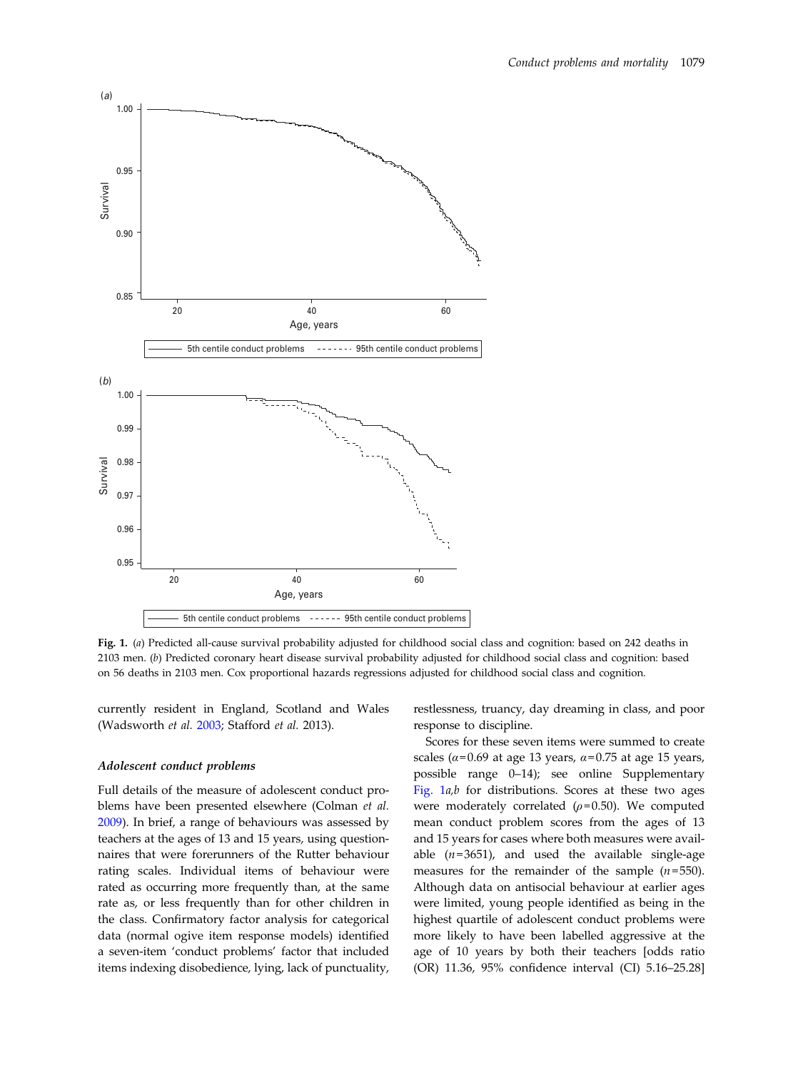<span id="page-2-0"></span>

Fig. 1. (a) Predicted all-cause survival probability adjusted for childhood social class and cognition: based on 242 deaths in 2103 men. (b) Predicted coronary heart disease survival probability adjusted for childhood social class and cognition: based on 56 deaths in 2103 men. Cox proportional hazards regressions adjusted for childhood social class and cognition.

currently resident in England, Scotland and Wales (Wadsworth et al. [2003;](#page-9-0) Stafford et al. 2013).

#### Adolescent conduct problems

Full details of the measure of adolescent conduct problems have been presented elsewhere (Colman et al. [2009\)](#page-8-0). In brief, a range of behaviours was assessed by teachers at the ages of 13 and 15 years, using questionnaires that were forerunners of the Rutter behaviour rating scales. Individual items of behaviour were rated as occurring more frequently than, at the same rate as, or less frequently than for other children in the class. Confirmatory factor analysis for categorical data (normal ogive item response models) identified a seven-item 'conduct problems' factor that included items indexing disobedience, lying, lack of punctuality,

restlessness, truancy, day dreaming in class, and poor response to discipline.

Scores for these seven items were summed to create scales ( $\alpha$ =0.69 at age 13 years,  $\alpha$ =0.75 at age 15 years, possible range 0–14); see online Supplementary Fig.  $1a,b$  for distributions. Scores at these two ages were moderately correlated  $(\rho = 0.50)$ . We computed mean conduct problem scores from the ages of 13 and 15 years for cases where both measures were available  $(n=3651)$ , and used the available single-age measures for the remainder of the sample  $(n=550)$ . Although data on antisocial behaviour at earlier ages were limited, young people identified as being in the highest quartile of adolescent conduct problems were more likely to have been labelled aggressive at the age of 10 years by both their teachers [odds ratio (OR) 11.36, 95% confidence interval (CI) 5.16–25.28]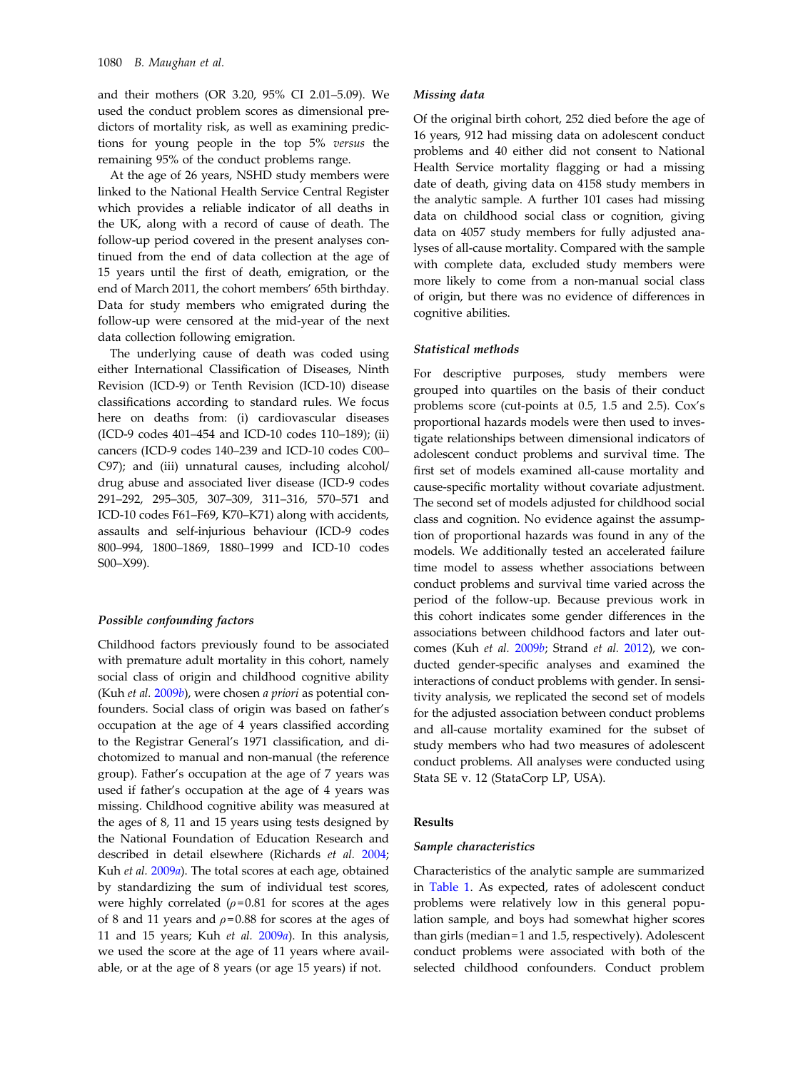and their mothers (OR 3.20, 95% CI 2.01–5.09). We used the conduct problem scores as dimensional predictors of mortality risk, as well as examining predictions for young people in the top 5% versus the remaining 95% of the conduct problems range.

At the age of 26 years, NSHD study members were linked to the National Health Service Central Register which provides a reliable indicator of all deaths in the UK, along with a record of cause of death. The follow-up period covered in the present analyses continued from the end of data collection at the age of 15 years until the first of death, emigration, or the end of March 2011, the cohort members' 65th birthday. Data for study members who emigrated during the follow-up were censored at the mid-year of the next data collection following emigration.

The underlying cause of death was coded using either International Classification of Diseases, Ninth Revision (ICD-9) or Tenth Revision (ICD-10) disease classifications according to standard rules. We focus here on deaths from: (i) cardiovascular diseases (ICD-9 codes 401–454 and ICD-10 codes 110–189); (ii) cancers (ICD-9 codes 140–239 and ICD-10 codes C00– C97); and (iii) unnatural causes, including alcohol/ drug abuse and associated liver disease (ICD-9 codes 291–292, 295–305, 307–309, 311–316, 570–571 and ICD-10 codes F61–F69, K70–K71) along with accidents, assaults and self-injurious behaviour (ICD-9 codes 800–994, 1800–1869, 1880–1999 and ICD-10 codes S00–X99).

## Possible confounding factors

Childhood factors previously found to be associated with premature adult mortality in this cohort, namely social class of origin and childhood cognitive ability (Kuh et al. [2009](#page-8-0)b), were chosen a priori as potential confounders. Social class of origin was based on father's occupation at the age of 4 years classified according to the Registrar General's 1971 classification, and dichotomized to manual and non-manual (the reference group). Father's occupation at the age of 7 years was used if father's occupation at the age of 4 years was missing. Childhood cognitive ability was measured at the ages of 8, 11 and 15 years using tests designed by the National Foundation of Education Research and described in detail elsewhere (Richards et al. [2004](#page-8-0); Kuh et al. [2009](#page-8-0)a). The total scores at each age, obtained by standardizing the sum of individual test scores, were highly correlated  $(\rho = 0.81$  for scores at the ages of 8 and 11 years and  $\rho$ =0.88 for scores at the ages of 11 and 15 years; Kuh et al. [2009](#page-8-0)a). In this analysis, we used the score at the age of 11 years where available, or at the age of 8 years (or age 15 years) if not.

#### Missing data

Of the original birth cohort, 252 died before the age of 16 years, 912 had missing data on adolescent conduct problems and 40 either did not consent to National Health Service mortality flagging or had a missing date of death, giving data on 4158 study members in the analytic sample. A further 101 cases had missing data on childhood social class or cognition, giving data on 4057 study members for fully adjusted analyses of all-cause mortality. Compared with the sample with complete data, excluded study members were more likely to come from a non-manual social class of origin, but there was no evidence of differences in cognitive abilities.

## Statistical methods

For descriptive purposes, study members were grouped into quartiles on the basis of their conduct problems score (cut-points at 0.5, 1.5 and 2.5). Cox's proportional hazards models were then used to investigate relationships between dimensional indicators of adolescent conduct problems and survival time. The first set of models examined all-cause mortality and cause-specific mortality without covariate adjustment. The second set of models adjusted for childhood social class and cognition. No evidence against the assumption of proportional hazards was found in any of the models. We additionally tested an accelerated failure time model to assess whether associations between conduct problems and survival time varied across the period of the follow-up. Because previous work in this cohort indicates some gender differences in the associations between childhood factors and later outcomes (Kuh et al. [2009](#page-8-0)b; Strand et al. [2012](#page-9-0)), we conducted gender-specific analyses and examined the interactions of conduct problems with gender. In sensitivity analysis, we replicated the second set of models for the adjusted association between conduct problems and all-cause mortality examined for the subset of study members who had two measures of adolescent conduct problems. All analyses were conducted using Stata SE v. 12 (StataCorp LP, USA).

#### Results

## Sample characteristics

Characteristics of the analytic sample are summarized in [Table 1.](#page-4-0) As expected, rates of adolescent conduct problems were relatively low in this general population sample, and boys had somewhat higher scores than girls (median = 1 and 1.5, respectively). Adolescent conduct problems were associated with both of the selected childhood confounders. Conduct problem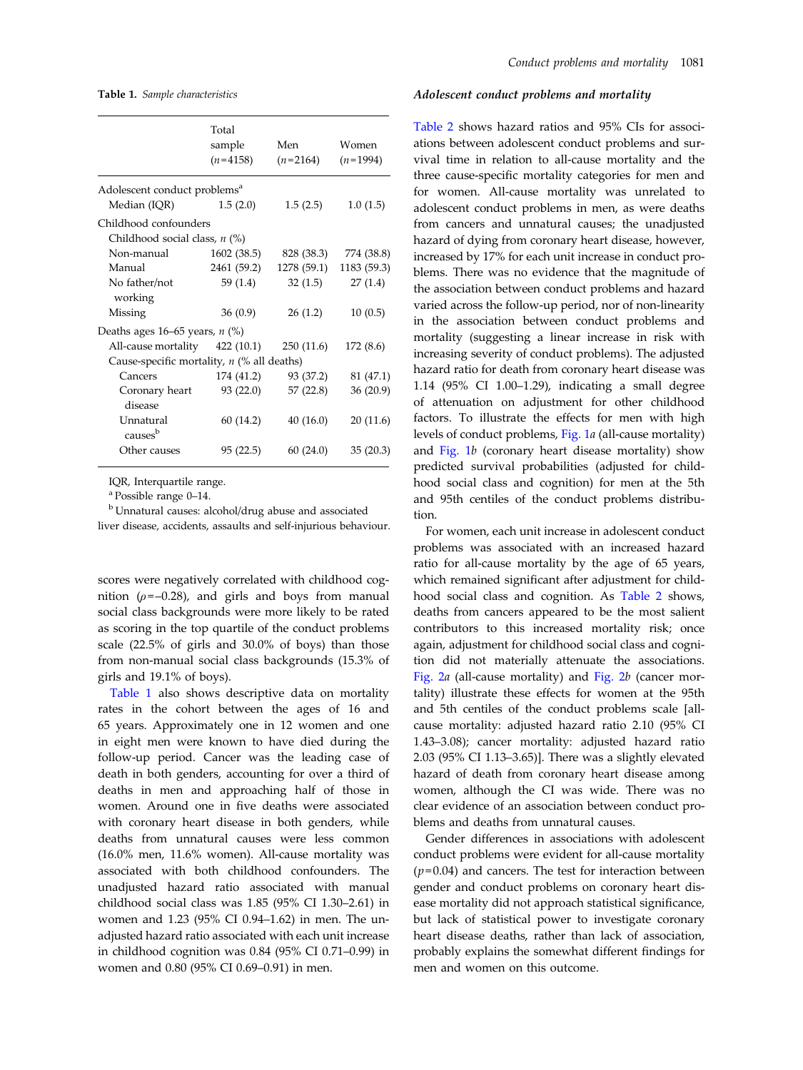<span id="page-4-0"></span>Table 1. Sample characteristics

|                                              | Total<br>sample<br>$(n=4158)$ | Men<br>$(n=2164)$     | Women<br>$(n=1994)$ |
|----------------------------------------------|-------------------------------|-----------------------|---------------------|
| Adolescent conduct problems <sup>a</sup>     |                               |                       |                     |
| Median (IQR)                                 | 1.5(2.0)                      | 1.5(2.5)              | 1.0(1.5)            |
| Childhood confounders                        |                               |                       |                     |
| Childhood social class, $n$ (%)              |                               |                       |                     |
| Non-manual                                   | 1602 (38.5)                   | 828 (38.3)            | 774 (38.8)          |
| Manual                                       | 2461 (59.2)                   | 1278 (59.1)           | 1183 (59.3)         |
| No father/not                                | 59 (1.4)                      | 32(1.5)               | 27(1.4)             |
| working                                      |                               |                       |                     |
| Missing                                      | 36(0.9)                       | 26(1.2)               | 10(0.5)             |
| Deaths ages 16–65 years, $n$ (%)             |                               |                       |                     |
| All-cause mortality 422 (10.1)               |                               | 250 (11.6)            | 172(8.6)            |
| Cause-specific mortality, $n$ (% all deaths) |                               |                       |                     |
| Cancers                                      |                               | 174 (41.2) 93 (37.2)  | 81 (47.1)           |
| Coronary heart                               |                               | $93(22.0)$ $57(22.8)$ | 36(20.9)            |
| disease                                      |                               |                       |                     |
| Unnatural<br>causes <sup>b</sup>             | 60 (14.2)                     | 40(16.0)              | 20(11.6)            |
| Other causes                                 | 95(22.5)                      | 60(24.0)              | 35(20.3)            |
|                                              |                               |                       |                     |

IQR, Interquartile range.

<sup>a</sup> Possible range 0–14.

<sup>b</sup> Unnatural causes: alcohol/drug abuse and associated liver disease, accidents, assaults and self-injurious behaviour.

scores were negatively correlated with childhood cognition ( $\rho = -0.28$ ), and girls and boys from manual social class backgrounds were more likely to be rated as scoring in the top quartile of the conduct problems scale (22.5% of girls and 30.0% of boys) than those from non-manual social class backgrounds (15.3% of girls and 19.1% of boys).

Table 1 also shows descriptive data on mortality rates in the cohort between the ages of 16 and 65 years. Approximately one in 12 women and one in eight men were known to have died during the follow-up period. Cancer was the leading case of death in both genders, accounting for over a third of deaths in men and approaching half of those in women. Around one in five deaths were associated with coronary heart disease in both genders, while deaths from unnatural causes were less common (16.0% men, 11.6% women). All-cause mortality was associated with both childhood confounders. The unadjusted hazard ratio associated with manual childhood social class was 1.85 (95% CI 1.30–2.61) in women and 1.23 (95% CI 0.94–1.62) in men. The unadjusted hazard ratio associated with each unit increase in childhood cognition was 0.84 (95% CI 0.71–0.99) in women and 0.80 (95% CI 0.69–0.91) in men.

#### Adolescent conduct problems and mortality

[Table 2](#page-5-0) shows hazard ratios and 95% CIs for associations between adolescent conduct problems and survival time in relation to all-cause mortality and the three cause-specific mortality categories for men and for women. All-cause mortality was unrelated to adolescent conduct problems in men, as were deaths from cancers and unnatural causes; the unadjusted hazard of dying from coronary heart disease, however, increased by 17% for each unit increase in conduct problems. There was no evidence that the magnitude of the association between conduct problems and hazard varied across the follow-up period, nor of non-linearity in the association between conduct problems and mortality (suggesting a linear increase in risk with increasing severity of conduct problems). The adjusted hazard ratio for death from coronary heart disease was 1.14 (95% CI 1.00–1.29), indicating a small degree of attenuation on adjustment for other childhood factors. To illustrate the effects for men with high levels of conduct problems, [Fig. 1](#page-2-0)a (all-cause mortality) and [Fig. 1](#page-2-0)b (coronary heart disease mortality) show predicted survival probabilities (adjusted for childhood social class and cognition) for men at the 5th and 95th centiles of the conduct problems distribution.

For women, each unit increase in adolescent conduct problems was associated with an increased hazard ratio for all-cause mortality by the age of 65 years, which remained significant after adjustment for childhood social class and cognition. As [Table 2](#page-5-0) shows, deaths from cancers appeared to be the most salient contributors to this increased mortality risk; once again, adjustment for childhood social class and cognition did not materially attenuate the associations. [Fig. 2](#page-6-0)a (all-cause mortality) and [Fig. 2](#page-6-0)b (cancer mortality) illustrate these effects for women at the 95th and 5th centiles of the conduct problems scale [allcause mortality: adjusted hazard ratio 2.10 (95% CI 1.43–3.08); cancer mortality: adjusted hazard ratio 2.03 (95% CI 1.13–3.65)]. There was a slightly elevated hazard of death from coronary heart disease among women, although the CI was wide. There was no clear evidence of an association between conduct problems and deaths from unnatural causes.

Gender differences in associations with adolescent conduct problems were evident for all-cause mortality  $(p= 0.04)$  and cancers. The test for interaction between gender and conduct problems on coronary heart disease mortality did not approach statistical significance, but lack of statistical power to investigate coronary heart disease deaths, rather than lack of association, probably explains the somewhat different findings for men and women on this outcome.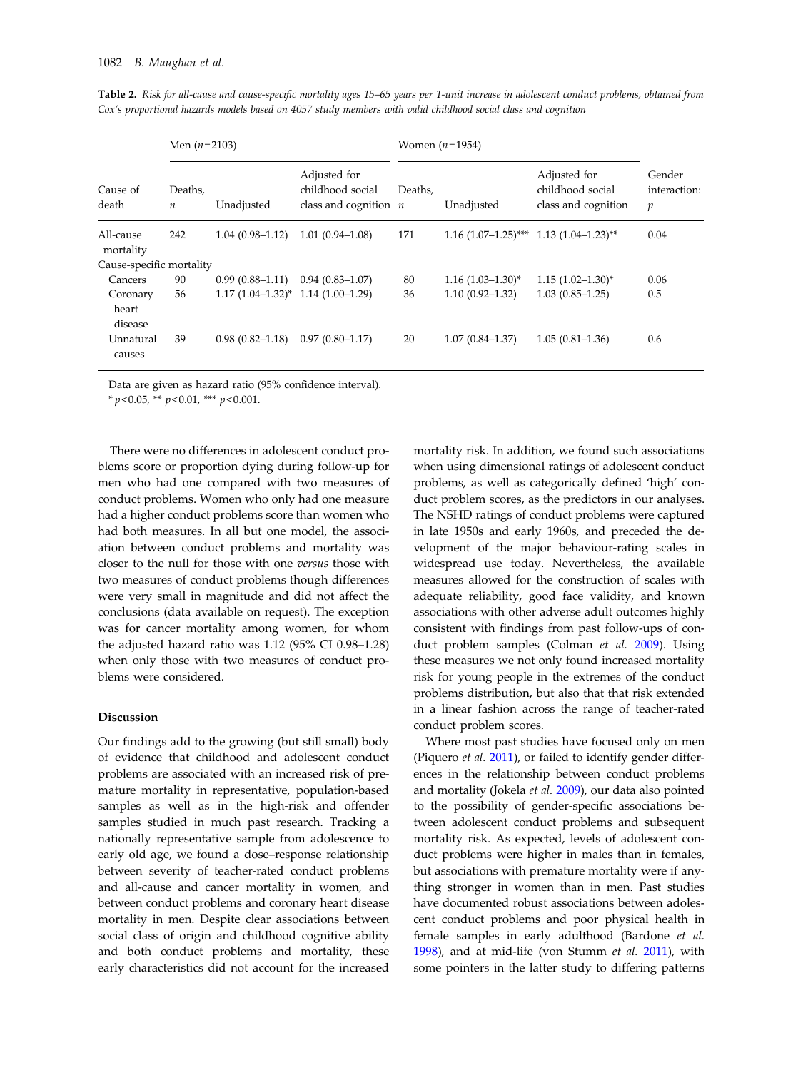|                                | Men $(n=2103)$              |                                           |                                                             | Women $(n=1954)$ |                                          |                                                         |                                            |  |
|--------------------------------|-----------------------------|-------------------------------------------|-------------------------------------------------------------|------------------|------------------------------------------|---------------------------------------------------------|--------------------------------------------|--|
| Cause of<br>death              | Deaths,<br>$\boldsymbol{n}$ | Unadjusted                                | Adjusted for<br>childhood social<br>class and cognition $n$ | Deaths.          | Unadjusted                               | Adjusted for<br>childhood social<br>class and cognition | Gender<br>interaction:<br>$\boldsymbol{p}$ |  |
| All-cause<br>mortality         | 242                         | $1.04(0.98 - 1.12)$                       | $1.01(0.94 - 1.08)$                                         | 171              | $1.16$ (1.07-1.25)*** 1.13 (1.04-1.23)** |                                                         | 0.04                                       |  |
| Cause-specific mortality       |                             |                                           |                                                             |                  |                                          |                                                         |                                            |  |
| Cancers                        | 90                          | $0.99(0.88-1.11)$                         | $0.94(0.83 - 1.07)$                                         | 80               | $1.16$ $(1.03-1.30)$ <sup>*</sup>        | $1.15(1.02 - 1.30)^{*}$                                 | 0.06                                       |  |
| Coronary<br>heart              | 56                          | $1.17 (1.04 - 1.32)^* 1.14 (1.00 - 1.29)$ |                                                             | 36               | $1.10(0.92 - 1.32)$                      | $1.03(0.85 - 1.25)$                                     | 0.5                                        |  |
| disease<br>Unnatural<br>causes | 39                          | $0.98(0.82 - 1.18)$                       | $0.97(0.80 - 1.17)$                                         | 20               | $1.07(0.84 - 1.37)$                      | $1.05(0.81 - 1.36)$                                     | 0.6                                        |  |

<span id="page-5-0"></span>Table 2. Risk for all-cause and cause-specific mortality ages 15–65 years per 1-unit increase in adolescent conduct problems, obtained from Cox's proportional hazards models based on 4057 study members with valid childhood social class and cognition

Data are given as hazard ratio (95% confidence interval).

 $* p < 0.05$ ,  $* p < 0.01$ ,  $** p < 0.001$ .

There were no differences in adolescent conduct problems score or proportion dying during follow-up for men who had one compared with two measures of conduct problems. Women who only had one measure had a higher conduct problems score than women who had both measures. In all but one model, the association between conduct problems and mortality was closer to the null for those with one versus those with two measures of conduct problems though differences were very small in magnitude and did not affect the conclusions (data available on request). The exception was for cancer mortality among women, for whom the adjusted hazard ratio was 1.12 (95% CI 0.98–1.28) when only those with two measures of conduct problems were considered.

## Discussion

Our findings add to the growing (but still small) body of evidence that childhood and adolescent conduct problems are associated with an increased risk of premature mortality in representative, population-based samples as well as in the high-risk and offender samples studied in much past research. Tracking a nationally representative sample from adolescence to early old age, we found a dose–response relationship between severity of teacher-rated conduct problems and all-cause and cancer mortality in women, and between conduct problems and coronary heart disease mortality in men. Despite clear associations between social class of origin and childhood cognitive ability and both conduct problems and mortality, these early characteristics did not account for the increased

mortality risk. In addition, we found such associations when using dimensional ratings of adolescent conduct problems, as well as categorically defined 'high' conduct problem scores, as the predictors in our analyses. The NSHD ratings of conduct problems were captured in late 1950s and early 1960s, and preceded the development of the major behaviour-rating scales in widespread use today. Nevertheless, the available measures allowed for the construction of scales with adequate reliability, good face validity, and known associations with other adverse adult outcomes highly consistent with findings from past follow-ups of conduct problem samples (Colman et al. [2009\)](#page-8-0). Using these measures we not only found increased mortality risk for young people in the extremes of the conduct problems distribution, but also that that risk extended in a linear fashion across the range of teacher-rated conduct problem scores.

Where most past studies have focused only on men (Piquero et al. [2011](#page-8-0)), or failed to identify gender differences in the relationship between conduct problems and mortality (Jokela et al. [2009\)](#page-8-0), our data also pointed to the possibility of gender-specific associations between adolescent conduct problems and subsequent mortality risk. As expected, levels of adolescent conduct problems were higher in males than in females, but associations with premature mortality were if anything stronger in women than in men. Past studies have documented robust associations between adolescent conduct problems and poor physical health in female samples in early adulthood (Bardone et al. [1998\)](#page-8-0), and at mid-life (von Stumm et al. [2011](#page-9-0)), with some pointers in the latter study to differing patterns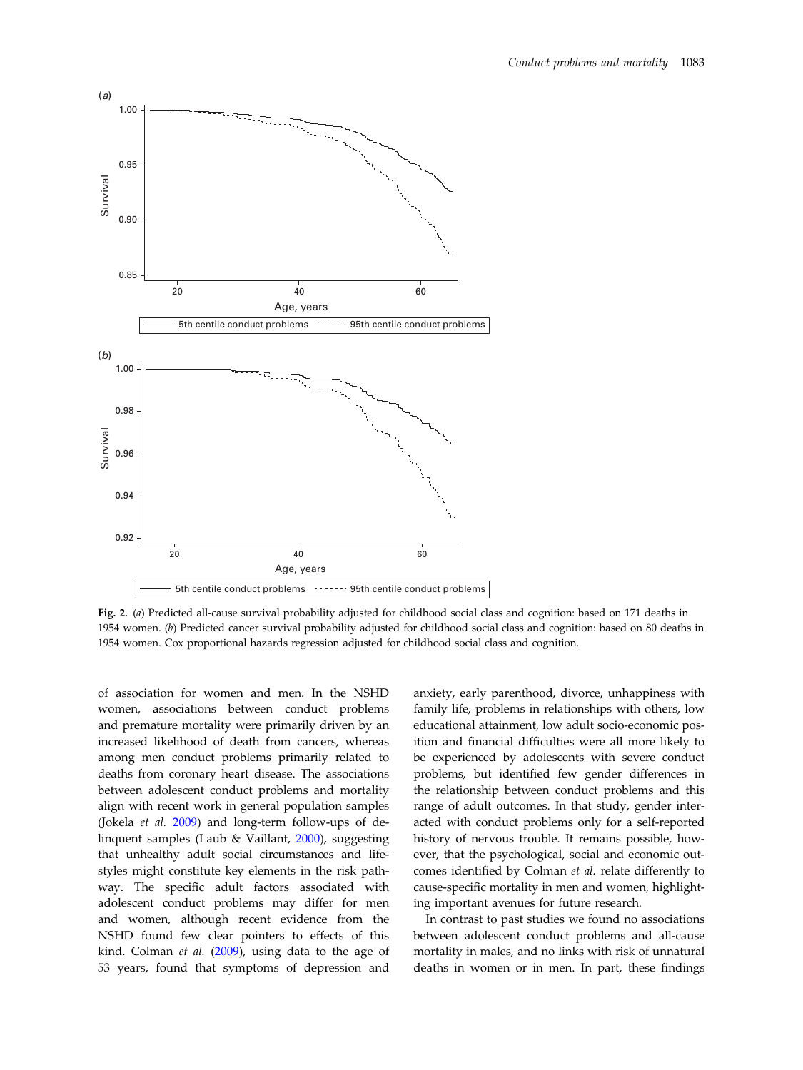<span id="page-6-0"></span>

Fig. 2. (a) Predicted all-cause survival probability adjusted for childhood social class and cognition: based on 171 deaths in 1954 women. (b) Predicted cancer survival probability adjusted for childhood social class and cognition: based on 80 deaths in 1954 women. Cox proportional hazards regression adjusted for childhood social class and cognition.

of association for women and men. In the NSHD women, associations between conduct problems and premature mortality were primarily driven by an increased likelihood of death from cancers, whereas among men conduct problems primarily related to deaths from coronary heart disease. The associations between adolescent conduct problems and mortality align with recent work in general population samples (Jokela et al. [2009](#page-8-0)) and long-term follow-ups of delinquent samples (Laub & Vaillant, [2000](#page-8-0)), suggesting that unhealthy adult social circumstances and lifestyles might constitute key elements in the risk pathway. The specific adult factors associated with adolescent conduct problems may differ for men and women, although recent evidence from the NSHD found few clear pointers to effects of this kind. Colman et al. [\(2009](#page-8-0)), using data to the age of 53 years, found that symptoms of depression and

anxiety, early parenthood, divorce, unhappiness with family life, problems in relationships with others, low educational attainment, low adult socio-economic position and financial difficulties were all more likely to be experienced by adolescents with severe conduct problems, but identified few gender differences in the relationship between conduct problems and this range of adult outcomes. In that study, gender interacted with conduct problems only for a self-reported history of nervous trouble. It remains possible, however, that the psychological, social and economic outcomes identified by Colman et al. relate differently to cause-specific mortality in men and women, highlighting important avenues for future research.

In contrast to past studies we found no associations between adolescent conduct problems and all-cause mortality in males, and no links with risk of unnatural deaths in women or in men. In part, these findings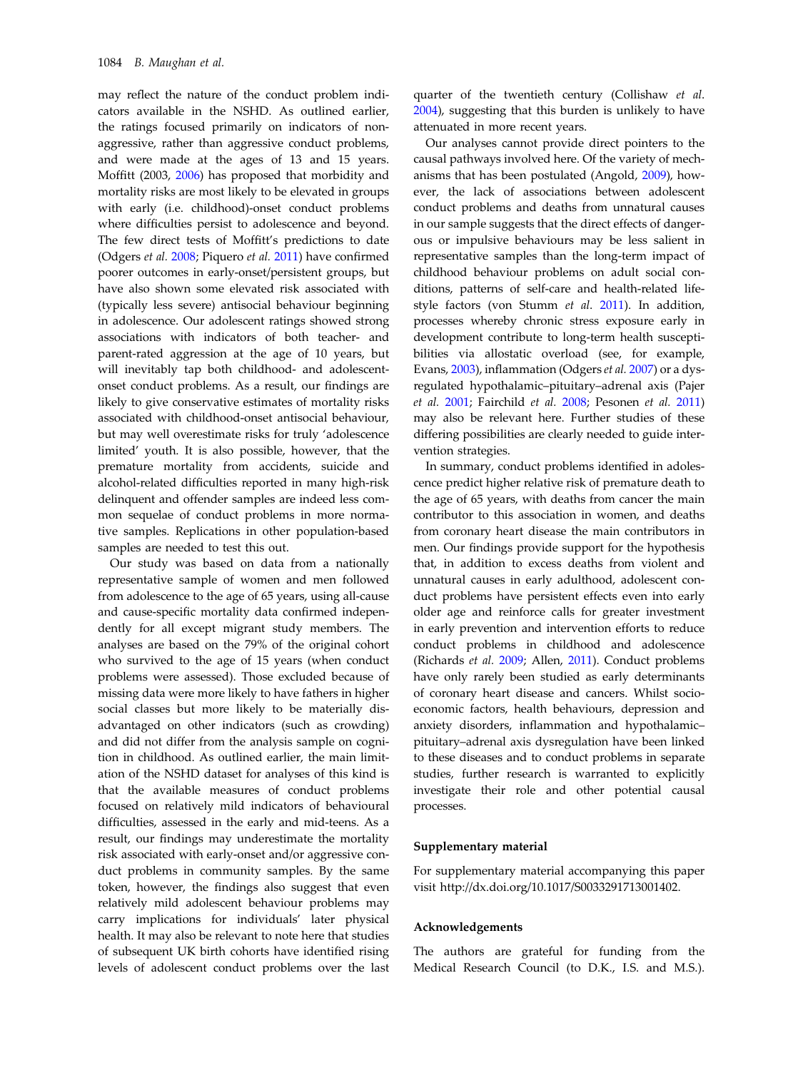may reflect the nature of the conduct problem indicators available in the NSHD. As outlined earlier, the ratings focused primarily on indicators of nonaggressive, rather than aggressive conduct problems, and were made at the ages of 13 and 15 years. Moffitt (2003, [2006](#page-8-0)) has proposed that morbidity and mortality risks are most likely to be elevated in groups with early (i.e. childhood)-onset conduct problems where difficulties persist to adolescence and beyond. The few direct tests of Moffitt's predictions to date (Odgers et al. [2008](#page-8-0); Piquero et al. [2011](#page-8-0)) have confirmed poorer outcomes in early-onset/persistent groups, but have also shown some elevated risk associated with (typically less severe) antisocial behaviour beginning in adolescence. Our adolescent ratings showed strong associations with indicators of both teacher- and parent-rated aggression at the age of 10 years, but will inevitably tap both childhood- and adolescentonset conduct problems. As a result, our findings are likely to give conservative estimates of mortality risks associated with childhood-onset antisocial behaviour, but may well overestimate risks for truly 'adolescence limited' youth. It is also possible, however, that the premature mortality from accidents, suicide and alcohol-related difficulties reported in many high-risk delinquent and offender samples are indeed less common sequelae of conduct problems in more normative samples. Replications in other population-based samples are needed to test this out.

Our study was based on data from a nationally representative sample of women and men followed from adolescence to the age of 65 years, using all-cause and cause-specific mortality data confirmed independently for all except migrant study members. The analyses are based on the 79% of the original cohort who survived to the age of 15 years (when conduct problems were assessed). Those excluded because of missing data were more likely to have fathers in higher social classes but more likely to be materially disadvantaged on other indicators (such as crowding) and did not differ from the analysis sample on cognition in childhood. As outlined earlier, the main limitation of the NSHD dataset for analyses of this kind is that the available measures of conduct problems focused on relatively mild indicators of behavioural difficulties, assessed in the early and mid-teens. As a result, our findings may underestimate the mortality risk associated with early-onset and/or aggressive conduct problems in community samples. By the same token, however, the findings also suggest that even relatively mild adolescent behaviour problems may carry implications for individuals' later physical health. It may also be relevant to note here that studies of subsequent UK birth cohorts have identified rising levels of adolescent conduct problems over the last

quarter of the twentieth century (Collishaw et al. [2004\)](#page-8-0), suggesting that this burden is unlikely to have attenuated in more recent years.

Our analyses cannot provide direct pointers to the causal pathways involved here. Of the variety of mechanisms that has been postulated (Angold, [2009](#page-8-0)), however, the lack of associations between adolescent conduct problems and deaths from unnatural causes in our sample suggests that the direct effects of dangerous or impulsive behaviours may be less salient in representative samples than the long-term impact of childhood behaviour problems on adult social conditions, patterns of self-care and health-related lifestyle factors (von Stumm et al. [2011\)](#page-9-0). In addition, processes whereby chronic stress exposure early in development contribute to long-term health susceptibilities via allostatic overload (see, for example, Evans, [2003\)](#page-8-0), inflammation (Odgers et al. [2007\)](#page-8-0) or a dysregulated hypothalamic–pituitary–adrenal axis (Pajer et al. [2001](#page-8-0); Fairchild et al. [2008](#page-8-0); Pesonen et al. [2011\)](#page-8-0) may also be relevant here. Further studies of these differing possibilities are clearly needed to guide intervention strategies.

In summary, conduct problems identified in adolescence predict higher relative risk of premature death to the age of 65 years, with deaths from cancer the main contributor to this association in women, and deaths from coronary heart disease the main contributors in men. Our findings provide support for the hypothesis that, in addition to excess deaths from violent and unnatural causes in early adulthood, adolescent conduct problems have persistent effects even into early older age and reinforce calls for greater investment in early prevention and intervention efforts to reduce conduct problems in childhood and adolescence (Richards et al. [2009](#page-8-0); Allen, [2011](#page-8-0)). Conduct problems have only rarely been studied as early determinants of coronary heart disease and cancers. Whilst socioeconomic factors, health behaviours, depression and anxiety disorders, inflammation and hypothalamic– pituitary–adrenal axis dysregulation have been linked to these diseases and to conduct problems in separate studies, further research is warranted to explicitly investigate their role and other potential causal processes.

#### Supplementary material

For supplementary material accompanying this paper visit http://dx.doi.org/10.1017/S0033291713001402.

#### Acknowledgements

The authors are grateful for funding from the Medical Research Council (to D.K., I.S. and M.S.).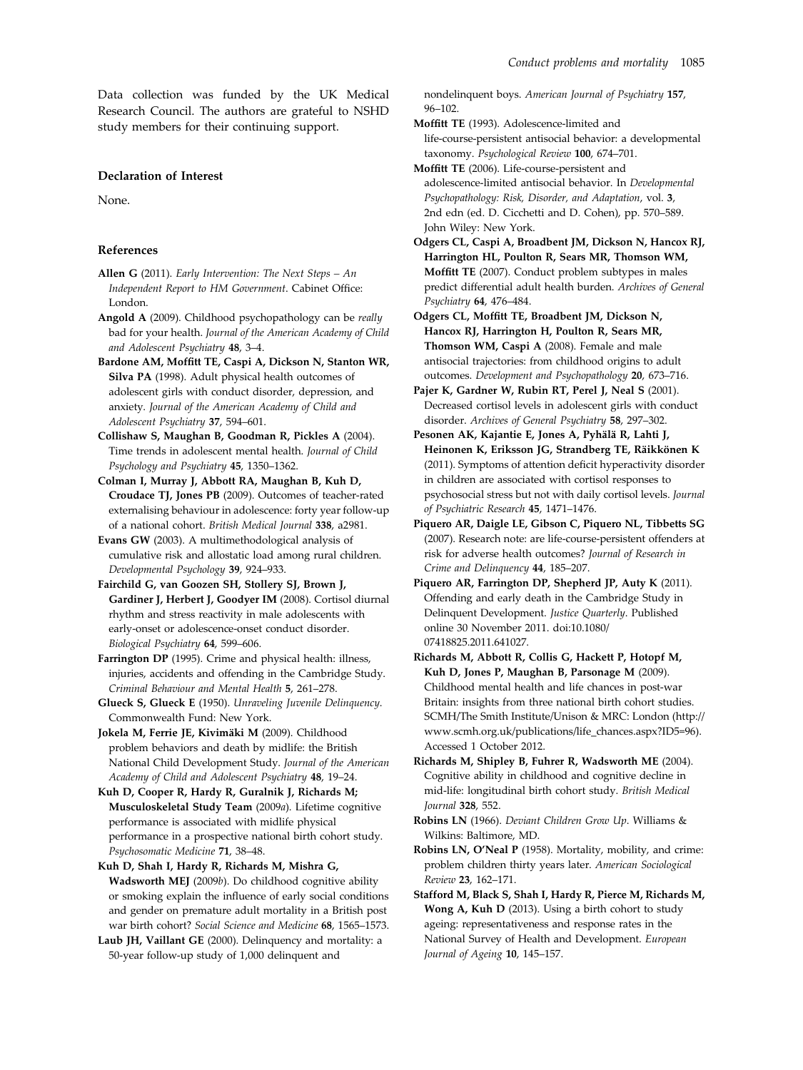<span id="page-8-0"></span>Data collection was funded by the UK Medical Research Council. The authors are grateful to NSHD study members for their continuing support.

#### Declaration of Interest

None.

## References

- Allen G (2011). Early Intervention: The Next Steps An Independent Report to HM Government. Cabinet Office: London.
- Angold A (2009). Childhood psychopathology can be really bad for your health. Journal of the American Academy of Child and Adolescent Psychiatry 48, 3–4.
- Bardone AM, Moffitt TE, Caspi A, Dickson N, Stanton WR, Silva PA (1998). Adult physical health outcomes of adolescent girls with conduct disorder, depression, and anxiety. Journal of the American Academy of Child and Adolescent Psychiatry 37, 594–601.
- Collishaw S, Maughan B, Goodman R, Pickles A (2004). Time trends in adolescent mental health. Journal of Child Psychology and Psychiatry 45, 1350–1362.
- Colman I, Murray J, Abbott RA, Maughan B, Kuh D, Croudace TJ, Jones PB (2009). Outcomes of teacher-rated externalising behaviour in adolescence: forty year follow-up of a national cohort. British Medical Journal 338, a2981.
- Evans GW (2003). A multimethodological analysis of cumulative risk and allostatic load among rural children. Developmental Psychology 39, 924–933.
- Fairchild G, van Goozen SH, Stollery SJ, Brown J, Gardiner J, Herbert J, Goodyer IM (2008). Cortisol diurnal rhythm and stress reactivity in male adolescents with early-onset or adolescence-onset conduct disorder. Biological Psychiatry 64, 599–606.
- Farrington DP (1995). Crime and physical health: illness, injuries, accidents and offending in the Cambridge Study. Criminal Behaviour and Mental Health 5, 261–278.
- Glueck S, Glueck E (1950). Unraveling Juvenile Delinquency. Commonwealth Fund: New York.
- Jokela M, Ferrie JE, Kivimäki M (2009). Childhood problem behaviors and death by midlife: the British National Child Development Study. Journal of the American Academy of Child and Adolescent Psychiatry 48, 19–24.
- Kuh D, Cooper R, Hardy R, Guralnik J, Richards M; Musculoskeletal Study Team (2009a). Lifetime cognitive performance is associated with midlife physical performance in a prospective national birth cohort study. Psychosomatic Medicine 71, 38–48.
- Kuh D, Shah I, Hardy R, Richards M, Mishra G, Wadsworth MEJ (2009b). Do childhood cognitive ability or smoking explain the influence of early social conditions and gender on premature adult mortality in a British post war birth cohort? Social Science and Medicine 68, 1565–1573.
- Laub JH, Vaillant GE (2000). Delinquency and mortality: a 50-year follow-up study of 1,000 delinquent and

nondelinquent boys. American Journal of Psychiatry 157, 96–102.

- Moffitt TE (1993). Adolescence-limited and life-course-persistent antisocial behavior: a developmental taxonomy. Psychological Review 100, 674–701.
- Moffitt TE (2006). Life-course-persistent and adolescence-limited antisocial behavior. In Developmental Psychopathology: Risk, Disorder, and Adaptation, vol. 3, 2nd edn (ed. D. Cicchetti and D. Cohen), pp. 570–589. John Wiley: New York.
- Odgers CL, Caspi A, Broadbent JM, Dickson N, Hancox RJ, Harrington HL, Poulton R, Sears MR, Thomson WM, Moffitt TE (2007). Conduct problem subtypes in males predict differential adult health burden. Archives of General Psychiatry 64, 476–484.
- Odgers CL, Moffitt TE, Broadbent JM, Dickson N, Hancox RJ, Harrington H, Poulton R, Sears MR, Thomson WM, Caspi A (2008). Female and male antisocial trajectories: from childhood origins to adult outcomes. Development and Psychopathology 20, 673–716.
- Pajer K, Gardner W, Rubin RT, Perel J, Neal S (2001). Decreased cortisol levels in adolescent girls with conduct disorder. Archives of General Psychiatry 58, 297–302.
- Pesonen AK, Kajantie E, Jones A, Pyhälä R, Lahti J, Heinonen K, Eriksson JG, Strandberg TE, Räikkönen K (2011). Symptoms of attention deficit hyperactivity disorder in children are associated with cortisol responses to psychosocial stress but not with daily cortisol levels. Journal of Psychiatric Research 45, 1471–1476.
- Piquero AR, Daigle LE, Gibson C, Piquero NL, Tibbetts SG (2007). Research note: are life-course-persistent offenders at risk for adverse health outcomes? Journal of Research in Crime and Delinquency 44, 185–207.
- Piquero AR, Farrington DP, Shepherd JP, Auty K (2011). Offending and early death in the Cambridge Study in Delinquent Development. Justice Quarterly. Published online 30 November 2011. doi:10.1080/ 07418825.2011.641027.
- Richards M, Abbott R, Collis G, Hackett P, Hotopf M, Kuh D, Jones P, Maughan B, Parsonage M (2009). Childhood mental health and life chances in post-war Britain: insights from three national birth cohort studies. SCMH/The Smith Institute/Unison & MRC: London (http:// www.scmh.org.uk/publications/life\_chances.aspx?ID5=96). Accessed 1 October 2012.
- Richards M, Shipley B, Fuhrer R, Wadsworth ME (2004). Cognitive ability in childhood and cognitive decline in mid-life: longitudinal birth cohort study. British Medical Journal 328, 552.
- Robins LN (1966). Deviant Children Grow Up. Williams & Wilkins: Baltimore, MD.
- Robins LN, O*'*Neal P (1958). Mortality, mobility, and crime: problem children thirty years later. American Sociological Review 23, 162–171.
- Stafford M, Black S, Shah I, Hardy R, Pierce M, Richards M, Wong A, Kuh D (2013). Using a birth cohort to study ageing: representativeness and response rates in the National Survey of Health and Development. European Journal of Ageing 10, 145–157.